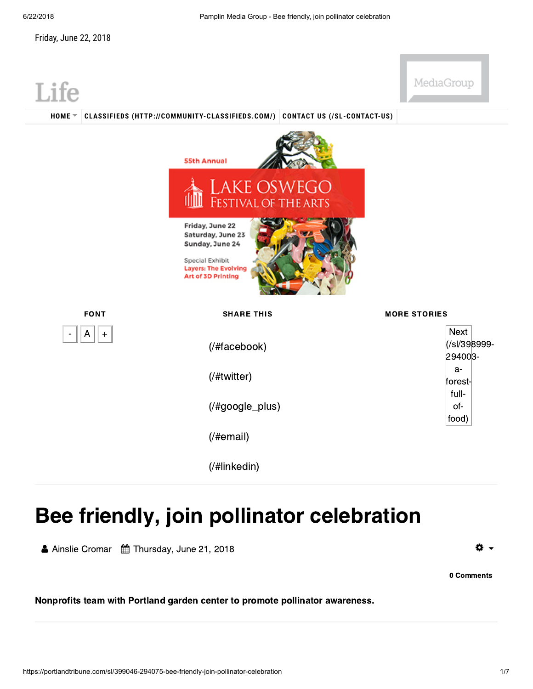MediaGroup



## Bee friendly, join pollinator celebration Ainslie Cromar Thursday, June 21, 2018

Ö.

Nonprofits team with Portland garden center to promote pollinator awareness.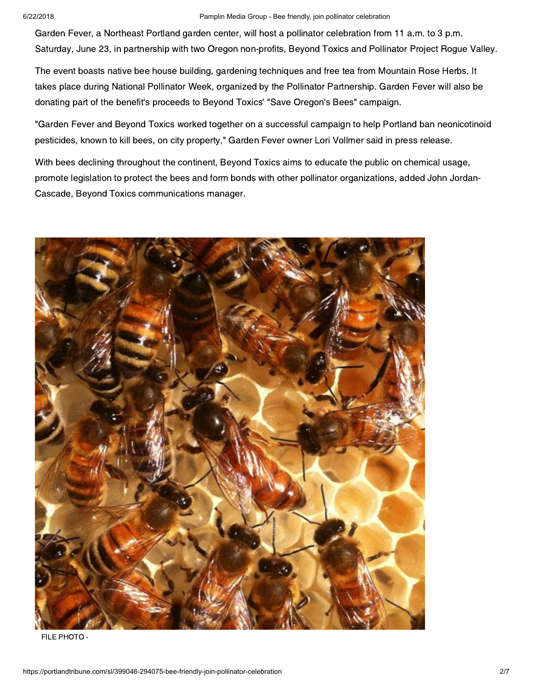## 6/22/2018 Pamplin Media Group - Bee friendly, join pollinator celebration

Garden Fever, a Northeast Portland garden center, will host a pollinator celebration from 11 a.m. to 3 p.m.<br>Saturday, June 23, in partnership with two Oregon non-profits, Beyond Toxics and Pollinator Project Rogue Valley. Saturday, June 23, in partnership with two Oregon non-profits, Beyond Toxics and Pollinator Project Rogue Valley.

The event boasts native bee house building, gardening techniques and free tea from Mountain Rose Herbs. It<br>takes place during National Pollinator Week, organized by the Pollinator Partnership. Garden Fever will also be takes place during Charles Pollinator Week, organized by the Pollinator Partnership. Garden Fever will also be<br>donating part of the benefit's proceeds to Bevond Toxics' "Save Oregon's Bees" campaign donating part of the benefit's proceeds to Beyond Toxics' "Save Oregon's Bees" campaign.

"Garden Fever and Beyond Toxics worked together on a successful campaign to help Portland ban neonicotinoid<br>pesticides, known to kill bees, on city property," Garden Fever owner Lori Vollmer said in press release. pesticides, known to kill bees, on city property," Garden Fever owner Lori Vollmer said in press release.

With bees declining throughout the continent, Beyond Toxics aims to educate the public on chemical usage,<br>promote legislation to protect the bees and form bonds with other pollinator organizations, added John Jordan-Cascade, Beyond Toxics communications manager. Cascade, Beyond Toxics communications manager.



FILE PHOTO -